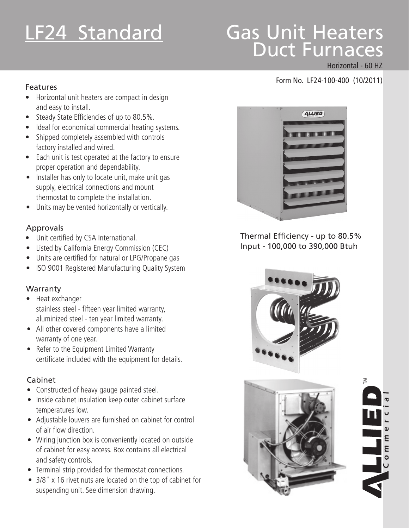# LF24 Standard

# Gas Unit\_Heaters Duct Furnaces

#### Horizontal - 60 HZ

Σ

E

# Form No. LF24-100-400 (10/2011) Features

- • Horizontal unit heaters are compact in design and easy to install.
- Steady State Efficiencies of up to 80.5%.
- Ideal for economical commercial heating systems.
- Shipped completely assembled with controls factory installed and wired.
- Each unit is test operated at the factory to ensure proper operation and dependability.
- Installer has only to locate unit, make unit gas supply, electrical connections and mount thermostat to complete the installation.
- Units may be vented horizontally or vertically.

#### Approvals

- • Unit certified by CSA International.
- **Listed by California Energy Commission (CEC)**
- Units are certified for natural or LPG/Propane gas
- **ISO 9001 Registered Manufacturing Quality System**

#### **Warranty**

- Heat exchanger stainless steel - fifteen year limited warranty, aluminized steel - ten year limited warranty.
- All other covered components have a limited warranty of one year.
- Refer to the Equipment Limited Warranty certificate included with the equipment for details.

#### Cabinet

- Constructed of heavy gauge painted steel.
- Inside cabinet insulation keep outer cabinet surface temperatures low.
- Adjustable louvers are furnished on cabinet for control of air flow direction.
- Wiring junction box is conveniently located on outside of cabinet for easy access. Box contains all electrical and safety controls.
- Terminal strip provided for thermostat connections.
- 3/8" x 16 rivet nuts are located on the top of cabinet for suspending unit. See dimension drawing.



Thermal Efficiency - up to 80.5% Input - 100,000 to 390,000 Btuh



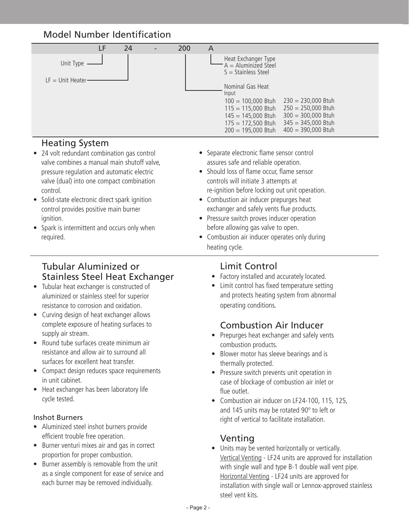# Model Number Identification



#### Heating System

- 24 volt redundant combination gas control valve combines a manual main shutoff valve, pressure regulation and automatic electric valve (dual) into one compact combination control.
- Solid-state electronic direct spark ignition control provides positive main burner ignition.
- Spark is intermittent and occurs only when required.

#### Tubular Aluminized or Stainless Steel Heat Exchanger

- • Tubular heat exchanger is constructed of aluminized or stainless steel for superior resistance to corrosion and oxidation.
- Curving design of heat exchanger allows complete exposure of heating surfaces to supply air stream.
- Round tube surfaces create minimum air resistance and allow air to surround all surfaces for excellent heat transfer.
- Compact design reduces space requirements in unit cabinet.
- Heat exchanger has been laboratory life cycle tested.

#### Inshot Burners

- Aluminized steel inshot burners provide efficient trouble free operation.
- Burner venturi mixes air and gas in correct proportion for proper combustion.
- Burner assembly is removable from the unit as a single component for ease of service and each burner may be removed individually.
- Separate electronic flame sensor control assures safe and reliable operation.
- Should loss of flame occur, flame sensor controls will initiate 3 attempts at re-ignition before locking out unit operation.
- Combustion air inducer prepurges heat exchanger and safely vents flue products.
- Pressure switch proves inducer operation before allowing gas valve to open.
- Combustion air inducer operates only during heating cycle.

#### Limit Control

- Factory installed and accurately located.
- Limit control has fixed temperature setting and protects heating system from abnormal operating conditions.

#### Combustion Air Inducer

- Prepurges heat exchanger and safely vents combustion products.
- Blower motor has sleeve bearings and is thermally protected.
- Pressure switch prevents unit operation in case of blockage of combustion air inlet or flue outlet.
- Combustion air inducer on LF24-100, 115, 125, and 145 units may be rotated 90º to left or right of vertical to facilitate installation.

#### Venting

• Units may be vented horizontally or vertically. Vertical Venting - LF24 units are approved for installation with single wall and type B-1 double wall vent pipe. Horizontal Venting - LF24 units are approved for installation with single wall or Lennox-approved stainless steel vent kits.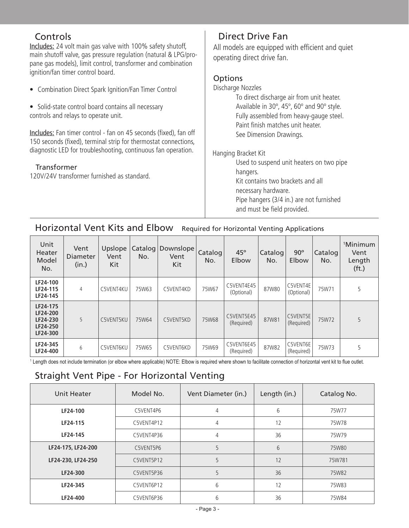#### **Controls**

Includes: 24 volt main gas valve with 100% safety shutoff, main shutoff valve, gas pressure regulation (natural & LPG/propane gas models), limit control, transformer and combination ignition/fan timer control board.

- Combination Direct Spark Ignition/Fan Timer Control
- Solid-state control board contains all necessary controls and relays to operate unit.

Includes: Fan timer control - fan on 45 seconds (fixed), fan off 150 seconds (fixed), terminal strip for thermostat connections, diagnostic LED for troubleshooting, continuous fan operation.

#### Transformer

120V/24V transformer furnished as standard.

#### Direct Drive Fan

All models are equipped with efficient and quiet operating direct drive fan.

#### **Options**

Discharge Nozzles To direct discharge air from unit heater. Available in 30º, 45º, 60º and 90º style. Fully assembled from heavy-gauge steel. Paint finish matches unit heater. See Dimension Drawings. Hanging Bracket Kit Used to suspend unit heaters on two pipe hangers. Kit contains two brackets and all necessary hardware.

 Pipe hangers (3/4 in.) are not furnished 

 and must be field provided.

# Horizontal Vent Kits and Elbow Required for Horizontal Venting Applications

| Unit<br>Heater<br>Model<br>No.                           | Vent<br><b>Diameter</b><br>(in.) | Upslope<br>Vent<br>Kit | Catalog<br>No. | Downslope<br>Vent<br>Kit | Catalog<br>No. | $45^{\circ}$<br>Elbow    | Catalog<br>No. | $90^\circ$<br>Elbow    | Catalog<br>No. | <sup>1</sup> Minimum<br>Vent<br>Length<br>(f <sub>t</sub> ) |
|----------------------------------------------------------|----------------------------------|------------------------|----------------|--------------------------|----------------|--------------------------|----------------|------------------------|----------------|-------------------------------------------------------------|
| LF24-100<br>LF24-115<br>LF24-145                         | 4                                | C5VENT4KU              | 75W63          | C5VENT4KD                | 75W67          | C5VENT4E45<br>(Optional) | 87W80          | C5VENT4E<br>(Optional) | 75W71          | 5                                                           |
| LF24-175<br>LF24-200<br>LF24-230<br>LF24-250<br>LF24-300 | 5                                | C5VENT5KU              | 75W64          | C5VENT5KD                | 75W68          | C5VENT5E45<br>(Required) | 87W81          | C5VENT5E<br>(Required) | 75W72          | 5                                                           |
| LF24-345<br>LF24-400                                     | 6                                | C5VENT6KU              | 75W65          | C5VENT6KD                | 75W69          | C5VENT6E45<br>(Required) | 87W82          | C5VENT6E<br>(Required) | 75W73          | 5                                                           |

1 Length does not include termination (or elbow where applicable) NOTE: Elbow is required where shown to facilitate connection of horizontal vent kit to flue outlet.

### Straight Vent Pipe - For Horizontal Venting

| Unit Heater        | Model No.  | Vent Diameter (in.) | Length (in.) | Catalog No. |
|--------------------|------------|---------------------|--------------|-------------|
| LF24-100           | C5VENT4P6  | 4                   | 6            | 75W77       |
| LF24-115           | C5VENT4P12 | 4                   | 12           | 75W78       |
| LF24-145           | C5VENT4P36 | 4                   | 36           | 75W79       |
| LF24-175, LF24-200 | C5VENT5P6  | 5                   | 6            | 75W80       |
| LF24-230, LF24-250 | C5VENT5P12 | 5                   | 12           | 75W781      |
| LF24-300           | C5VENT5P36 | 5                   | 36           | 75W82       |
| LF24-345           | C5VENT6P12 | 6                   | 12           | 75W83       |
| LF24-400           | C5VENT6P36 | 6                   | 36           | 75W84       |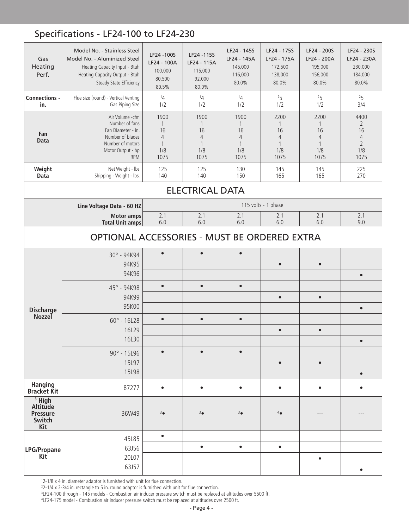# Specifications - LF24-100 to LF24-230

| Gas<br>Heating<br>Perf.                                           | Model No. - Stainless Steel<br>Model No. - Aluminized Steel<br>Heating Capacity Input - Btuh<br>Heating Capacity Output - Btuh<br>Steady State Efficiency | LF24 - 100S<br>LF24 - 100A<br>100,000<br>80,500<br>80.5%         | LF24 -115S<br>LF24 - 115A<br>115,000<br>92,000<br>80.0%                     | LF24 - 145S<br>LF24 - 145A<br>145,000<br>116,000<br>80.0%        | LF24 - 175S<br>LF24 - 175A<br>172,500<br>138,000<br>80.0% | LF24 - 200S<br>LF24 - 200A<br>195,000<br>156,000<br>80.0% | LF24 - 230S<br>LF24 - 230A<br>230,000<br>184,000<br>80.0%                       |  |
|-------------------------------------------------------------------|-----------------------------------------------------------------------------------------------------------------------------------------------------------|------------------------------------------------------------------|-----------------------------------------------------------------------------|------------------------------------------------------------------|-----------------------------------------------------------|-----------------------------------------------------------|---------------------------------------------------------------------------------|--|
| Connections -<br>in.                                              | Flue size (round) - Vertical Venting<br>Gas Piping Size                                                                                                   | 14<br>1/2                                                        | 14<br>1/2                                                                   | 14<br>1/2                                                        | 25<br>1/2                                                 | 25<br>1/2                                                 | 25<br>3/4                                                                       |  |
| Fan<br><b>Data</b>                                                | Air Volume -cfm<br>Number of fans<br>Fan Diameter - in.<br>Number of blades<br>Number of motors<br>Motor Output - hp<br><b>RPM</b>                        | 1900<br>1<br>16<br>$\overline{4}$<br>$\mathbf{1}$<br>1/8<br>1075 | 1900<br>$\mathbf{1}$<br>16<br>$\overline{4}$<br>$\mathbf{1}$<br>1/8<br>1075 | 1900<br>1<br>16<br>$\overline{4}$<br>$\mathbf{1}$<br>1/8<br>1075 | 2200<br>1<br>16<br>4<br>$\mathbf{1}$<br>1/8<br>1075       | 2200<br>1<br>16<br>4<br>1<br>1/8<br>1075                  | 4400<br>$\overline{2}$<br>16<br>$\overline{4}$<br>$\overline{2}$<br>1/8<br>1075 |  |
| Weight<br>Data                                                    | Net Weight - Ibs<br>Shipping - Weight - lbs.                                                                                                              | 125<br>140                                                       | 125<br>140                                                                  | 130<br>150                                                       | 145<br>165                                                | 145<br>165                                                | 225<br>270                                                                      |  |
|                                                                   |                                                                                                                                                           |                                                                  | <b>ELECTRICAL DATA</b>                                                      |                                                                  |                                                           |                                                           |                                                                                 |  |
|                                                                   | Line Voltage Data - 60 HZ                                                                                                                                 |                                                                  |                                                                             |                                                                  | 115 volts - 1 phase                                       |                                                           |                                                                                 |  |
|                                                                   | <b>Motor amps</b><br><b>Total Unit amps</b>                                                                                                               | 2.1<br>6.0                                                       | 2.1<br>6.0                                                                  | 2.1<br>6.0                                                       | 2.1<br>6.0                                                | 2.1<br>6.0                                                | 2.1<br>9.0                                                                      |  |
| OPTIONAL ACCESSORIES - MUST BE ORDERED EXTRA                      |                                                                                                                                                           |                                                                  |                                                                             |                                                                  |                                                           |                                                           |                                                                                 |  |
|                                                                   | 30° - 94K94                                                                                                                                               | $\bullet$                                                        | $\bullet$                                                                   | $\bullet$                                                        |                                                           |                                                           |                                                                                 |  |
|                                                                   | 94K95                                                                                                                                                     |                                                                  |                                                                             |                                                                  | $\bullet$                                                 | $\bullet$                                                 |                                                                                 |  |
|                                                                   | 94K96                                                                                                                                                     |                                                                  |                                                                             |                                                                  |                                                           |                                                           | $\bullet$                                                                       |  |
|                                                                   | 45° - 94K98                                                                                                                                               | $\bullet$                                                        | $\bullet$                                                                   | $\bullet$                                                        |                                                           |                                                           |                                                                                 |  |
|                                                                   | 94K99<br>95K00                                                                                                                                            |                                                                  |                                                                             |                                                                  | $\bullet$                                                 | $\bullet$                                                 | $\bullet$                                                                       |  |
| <b>Discharge</b><br><b>Nozzel</b>                                 | $60^{\circ}$ - 16L28                                                                                                                                      | $\bullet$                                                        | $\bullet$                                                                   | $\bullet$                                                        |                                                           |                                                           |                                                                                 |  |
|                                                                   | 16L29                                                                                                                                                     |                                                                  |                                                                             |                                                                  | $\bullet$                                                 | $\bullet$                                                 |                                                                                 |  |
|                                                                   | 16L30                                                                                                                                                     |                                                                  |                                                                             |                                                                  |                                                           |                                                           | $\bullet$                                                                       |  |
|                                                                   | 90° - 15L96                                                                                                                                               | $\bullet$                                                        | $\bullet$                                                                   | $\bullet$                                                        |                                                           |                                                           |                                                                                 |  |
|                                                                   | 15L97                                                                                                                                                     |                                                                  |                                                                             |                                                                  | $\bullet$                                                 | $\bullet$                                                 |                                                                                 |  |
|                                                                   | 15L98                                                                                                                                                     |                                                                  |                                                                             |                                                                  |                                                           |                                                           | $\bullet$                                                                       |  |
| <b>Hanging</b><br><b>Bracket Kit</b>                              | 87277                                                                                                                                                     | $\bullet$                                                        | $\bullet$                                                                   | $\bullet$                                                        | $\bullet$                                                 | $\bullet$                                                 | $\bullet$                                                                       |  |
| <sup>3</sup> High<br>Altitude<br><b>Pressure</b><br>Switch<br>Kit | 36W49                                                                                                                                                     | 3 <sub>o</sub>                                                   | $3\bullet$                                                                  | 3 <sub>o</sub>                                                   | $4\bullet$                                                |                                                           |                                                                                 |  |
|                                                                   | 45L85                                                                                                                                                     | $\bullet$                                                        |                                                                             |                                                                  |                                                           |                                                           |                                                                                 |  |
| LPG/Propane                                                       | 63J56                                                                                                                                                     |                                                                  | $\bullet$                                                                   | $\bullet$                                                        | $\bullet$                                                 |                                                           |                                                                                 |  |
| <b>Kit</b>                                                        | 20L07                                                                                                                                                     |                                                                  |                                                                             |                                                                  |                                                           | $\bullet$                                                 |                                                                                 |  |
|                                                                   | 63J57                                                                                                                                                     |                                                                  |                                                                             |                                                                  |                                                           |                                                           | $\bullet$                                                                       |  |

1 2-1/8 x 4 in. diameter adaptor is furnished with unit for flue connection.

<sup>2</sup>2-1/4 x 2-3/4 in. rectangle to 5 in. round adaptor is furnished with unit for flue connection.<br><sup>3</sup>LF24-100 through - 145 models - Combustion air inducer pressure switch must be replaced at altitudes over 5500 ft.

4 LF24-175 model - Combustion air inducer pressure switch must be replaced at altitudes over 2500 ft.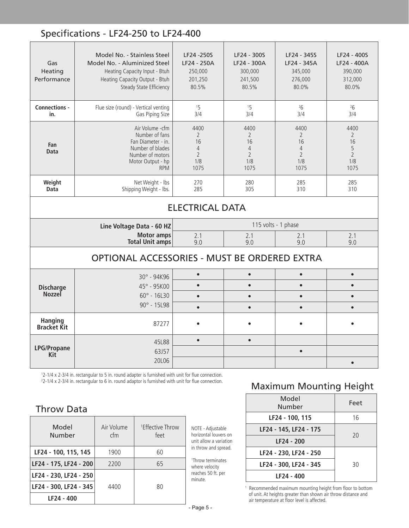### Specifications - LF24-250 to LF24-400

| Gas<br>Heating<br>Performance          | Model No. - Stainless Steel<br>Model No. - Aluminized Steel<br>Heating Capacity Input - Btuh<br>Heating Capacity Output - Btuh<br>Steady State Efficiency | LF24 -250S<br>LF24 - 250A<br>250,000<br>201,250<br>80.5%                        | LF24 - 300S<br>LF24 - 300A<br>300,000<br>241,500<br>80.5%                       | LF24 - 345S<br>LF24 - 345A<br>345,000<br>276,000<br>80.0%          | LF24 - 400S<br>LF24 - 400A<br>390,000<br>312,000<br>80.0%          |  |  |
|----------------------------------------|-----------------------------------------------------------------------------------------------------------------------------------------------------------|---------------------------------------------------------------------------------|---------------------------------------------------------------------------------|--------------------------------------------------------------------|--------------------------------------------------------------------|--|--|
| Connections -<br>in.                   | Flue size (round) - Vertical venting<br>Gas Piping Size                                                                                                   | 15<br>3/4                                                                       | 15<br>3/4                                                                       | 26<br>3/4                                                          | 26<br>3/4                                                          |  |  |
| Fan<br>Data                            | Air Volume - cfm<br>Number of fans<br>Fan Diameter - in.<br>Number of blades<br>Number of motors<br>Motor Output - hp<br><b>RPM</b>                       | 4400<br>$\overline{2}$<br>16<br>$\overline{4}$<br>$\overline{2}$<br>1/8<br>1075 | 4400<br>$\overline{2}$<br>16<br>$\overline{4}$<br>$\overline{2}$<br>1/8<br>1075 | 4400<br>2<br>16<br>$\overline{4}$<br>$\overline{2}$<br>1/8<br>1075 | 4400<br>$\overline{2}$<br>16<br>5<br>$\overline{2}$<br>1/8<br>1075 |  |  |
| Weight<br>Data                         | Net Weight - Ibs<br>Shipping Weight - lbs.                                                                                                                | 270<br>285                                                                      | 280<br>305                                                                      | 285<br>310                                                         | 285<br>310                                                         |  |  |
| <b>ELECTRICAL DATA</b>                 |                                                                                                                                                           |                                                                                 |                                                                                 |                                                                    |                                                                    |  |  |
|                                        | Line Voltage Data - 60 HZ                                                                                                                                 |                                                                                 |                                                                                 | 115 volts - 1 phase                                                |                                                                    |  |  |
|                                        | <b>Motor amps</b><br><b>Total Unit amps</b>                                                                                                               | 2.1<br>9.0                                                                      | 2.1<br>9.0                                                                      | 2.1<br>9.0                                                         | 2.1<br>9.0                                                         |  |  |
|                                        | OPTIONAL ACCESSORIES - MUST BE ORDERED EXTRA                                                                                                              |                                                                                 |                                                                                 |                                                                    |                                                                    |  |  |
|                                        | $30^{\circ}$ - 94K96                                                                                                                                      | $\bullet$                                                                       | $\bullet$                                                                       | $\bullet$                                                          | $\bullet$                                                          |  |  |
| <b>Discharge</b><br><b>Nozzel</b>      | 45° - 95K00                                                                                                                                               | $\bullet$                                                                       | $\bullet$                                                                       | $\bullet$                                                          | $\bullet$                                                          |  |  |
|                                        | $60^{\circ}$ - 16L30<br>$90^{\circ}$ - 15L98                                                                                                              | $\bullet$                                                                       | $\bullet$                                                                       | $\bullet$                                                          | $\bullet$                                                          |  |  |
|                                        |                                                                                                                                                           | $\bullet$                                                                       | $\bullet$                                                                       | $\bullet$                                                          | $\bullet$                                                          |  |  |
| <b>Hanging</b><br>Bracket Kit          | 87277                                                                                                                                                     |                                                                                 |                                                                                 |                                                                    |                                                                    |  |  |
| <b>LPG/Propane</b><br>Kit <sup>-</sup> | 45L88<br>63J57<br>20L06                                                                                                                                   | $\bullet$                                                                       | $\bullet$                                                                       | $\bullet$                                                          | $\bullet$                                                          |  |  |

1 2-1/4 x 2-3/4 in. rectangular to 5 in. round adapter is furnished with unit for flue connection. 2 2-1/4 x 2-3/4 in. rectangular to 6 in. round adaptor is furnished with unit for flue connection.

#### Throw Data

| Model<br>Number        | Air Volume<br>cfm | <sup>1</sup> Effective Throw<br>feet | N<br>h<br>u |
|------------------------|-------------------|--------------------------------------|-------------|
| LF24 - 100, 115, 145   | 1900              | 60                                   | ir          |
| LF24 - 175, LF24 - 200 | 2200              | 65                                   | 17<br>W     |
| LF24 - 230, LF24 - 250 |                   |                                      | re<br>m     |
| LF24 - 300, LF24 - 345 | 4400              | 80                                   |             |
| LF24 - 400             |                   |                                      |             |

NOTE - Adjustable horizontal louvers on unit allow a variation n throw and spread.

Throw terminates where velocity reaches 50 ft. per minute.

# Maximum Mounting Height

| Model<br>Number        | Feet |
|------------------------|------|
| LF24 - 100, 115        | 16   |
| LF24 - 145, LF24 - 175 | 20   |
| LF24 - 200             |      |
| LF24 - 230, LF24 - 250 |      |
| LF24 - 300, LF24 - 345 | 30   |
| LF24 - 400             |      |

1 Recommended maximum mounting height from floor to bottom of unit. At heights greater than shown air throw distance and air temperature at floor level is affected.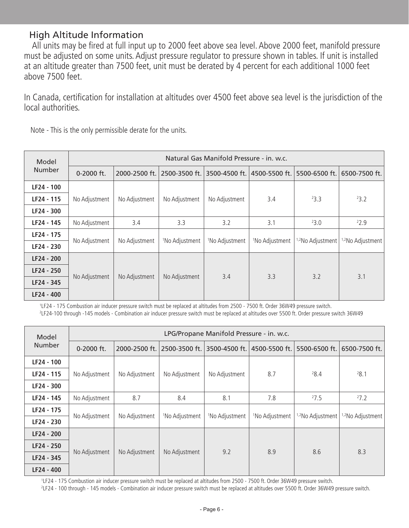#### High Altitude Information

 All units may be fired at full input up to 2000 feet above sea level. Above 2000 feet, manifold pressure must be adjusted on some units. Adjust pressure regulator to pressure shown in tables. If unit is installed at an altitude greater than 7500 feet, unit must be derated by 4 percent for each additional 1000 feet above 7500 feet.

In Canada, certification for installation at altitudes over 4500 feet above sea level is the jurisdiction of the local authorities. 

| Model         | Natural Gas Manifold Pressure - in. w.c. |               |                            |                            |                            |                              |                              |  |
|---------------|------------------------------------------|---------------|----------------------------|----------------------------|----------------------------|------------------------------|------------------------------|--|
| <b>Number</b> | 0-2000 ft.                               | 2000-2500 ft. | 2500-3500 ft.              | 3500-4500 ft.              | 4500-5500 ft.              | 5500-6500 ft.                | 6500-7500 ft.                |  |
| LF24 - 100    |                                          |               |                            |                            |                            |                              |                              |  |
| LF24 - 115    | No Adjustment                            | No Adjustment | No Adjustment              | No Adjustment              | 3.4                        | 23.3                         | 23.2                         |  |
| LF24 - 300    |                                          |               |                            |                            |                            |                              |                              |  |
| LF24 - 145    | No Adjustment                            | 3.4           | 3.3                        | 3.2                        | 3.1                        | 23.0                         | 22.9                         |  |
| LF24 - 175    | No Adjustment                            | No Adjustment | <sup>1</sup> No Adjustment | <sup>1</sup> No Adjustment | <sup>1</sup> No Adjustment | <sup>1,2</sup> No Adjustment | <sup>1,2</sup> No Adjustment |  |
| LF24 - 230    |                                          |               |                            |                            |                            |                              |                              |  |
| LF24 - 200    |                                          |               |                            |                            |                            |                              |                              |  |
| LF24 - 250    |                                          |               |                            |                            |                            |                              |                              |  |
| LF24 - 345    | No Adjustment                            | No Adjustment | No Adjustment              | 3.4                        | 3.3                        | 3.2                          | 3.1                          |  |
| LF24 - 400    |                                          |               |                            |                            |                            |                              |                              |  |

Note - This is the only permissible derate for the units.

<sup>1</sup>LF24 - 175 Combustion air inducer pressure switch must be replaced at altitudes from 2500 - 7500 ft. Order 36W49 pressure switch.

2 LF24-100 through -145 models - Combination air inducer pressure switch must be replaced at altitudes over 5500 ft. Order pressure switch 36W49

| Model         | LPG/Propane Manifold Pressure - in. w.c. |               |                            |                            |                            |                  |                              |  |
|---------------|------------------------------------------|---------------|----------------------------|----------------------------|----------------------------|------------------|------------------------------|--|
| <b>Number</b> | 0-2000 ft.                               | 2000-2500 ft. | 2500-3500 ft.              | 3500-4500 ft.              | 4500-5500 ft.              | 5500-6500 ft.    | 6500-7500 ft.                |  |
| LF24 - 100    |                                          |               |                            |                            |                            |                  |                              |  |
| LF24 - 115    | No Adjustment                            | No Adjustment | No Adjustment              | No Adjustment              | 8.7                        | 28.4             | 28.1                         |  |
| LF24 - 300    |                                          |               |                            |                            |                            |                  |                              |  |
| LF24 - 145    | No Adjustment                            | 8.7           | 8.4                        | 8.1                        | 7.8                        | 27.5             | 27.2                         |  |
| LF24 - 175    | No Adjustment                            | No Adjustment | <sup>1</sup> No Adjustment | <sup>1</sup> No Adjustment | <sup>1</sup> No Adjustment | 1,2No Adjustment | <sup>1,2</sup> No Adjustment |  |
| LF24 - 230    |                                          |               |                            |                            |                            |                  |                              |  |
| LF24 - 200    |                                          |               |                            |                            |                            |                  |                              |  |
| LF24 - 250    |                                          |               |                            |                            |                            |                  | 8.3                          |  |
| LF24 - 345    | No Adjustment                            | No Adjustment | No Adjustment              | 9.2                        | 8.9                        | 8.6              |                              |  |
| LF24 - 400    |                                          |               |                            |                            |                            |                  |                              |  |

<sup>1</sup>LF24 - 175 Combustion air inducer pressure switch must be replaced at altitudes from 2500 - 7500 ft. Order 36W49 pressure switch.

2 LF24 - 100 through - 145 models - Combination air inducer pressure switch must be replaced at altitudes over 5500 ft. Order 36W49 pressure switch.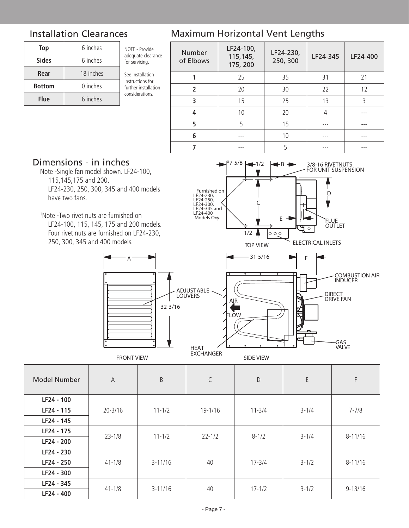| Top           | 6 inches  | NOTE - Provide                           |  |  |
|---------------|-----------|------------------------------------------|--|--|
| <b>Sides</b>  | 6 inches  | adequate clearance<br>for servicing.     |  |  |
| Rear          | 18 inches | See Installation                         |  |  |
| <b>Bottom</b> | 0 inches  | Instructions for<br>further installation |  |  |
| <b>Flue</b>   | 6 inches  | considerations.                          |  |  |

#### Installation Clearances Maximum Horizontal Vent Lengths

| <b>Number</b><br>of Elbows | LF24-100,<br>115,145,<br>175, 200 | LF24-230,<br>LF24-345<br>250, 300 |    | LF24-400 |
|----------------------------|-----------------------------------|-----------------------------------|----|----------|
|                            | 25                                | 35<br>31                          |    | 21       |
| $\overline{\phantom{a}}$   | 20                                | 30                                | 22 | 12       |
| 3                          | 15                                | 25                                | 13 | ς        |
| 4                          | 10                                | 20                                |    |          |
| 5                          | 5                                 | 15                                |    |          |
| 6                          |                                   | 10                                |    |          |
|                            |                                   |                                   |    |          |

# Dimensions - in inches

 Note -Single fan model shown. LF24-100, 115,145,175 and 200. LF24-230, 250, 300, 345 and 400 models have two fans.

1 Note -Two rivet nuts are furnished on

 LF24-100, 115, 145, 175 and 200 models. Four rivet nuts are furnished on LF24-230, 250, 300, 345 and 400 models.

FRONT VIEW

A



| <b>Model Number</b> | $\overline{A}$ | $\sf B$     | C          | D          | E         | F           |
|---------------------|----------------|-------------|------------|------------|-----------|-------------|
| LF24 - 100          |                |             |            |            |           |             |
| LF24 - 115          | $20 - 3/16$    | $11 - 1/2$  | 19-1/16    | $11 - 3/4$ | $3 - 1/4$ | $7 - 7/8$   |
| LF24 - 145          |                |             |            |            |           |             |
| LF24 - 175          | $23 - 1/8$     | $11 - 1/2$  | $22 - 1/2$ | $8 - 1/2$  | $3 - 1/4$ | $8 - 11/16$ |
| LF24 - 200          |                |             |            |            |           |             |
| LF24 - 230          |                |             | 40         | $17 - 3/4$ | $3 - 1/2$ | $8 - 11/16$ |
| LF24 - 250          | $41 - 1/8$     | $3 - 11/16$ |            |            |           |             |
| LF24 - 300          |                |             |            |            |           |             |
| LF24 - 345          |                |             |            |            |           |             |
| LF24 - 400          | $41 - 1/8$     | $3 - 11/16$ | 40         | $17 - 1/2$ | $3 - 1/2$ | $9 - 13/16$ |